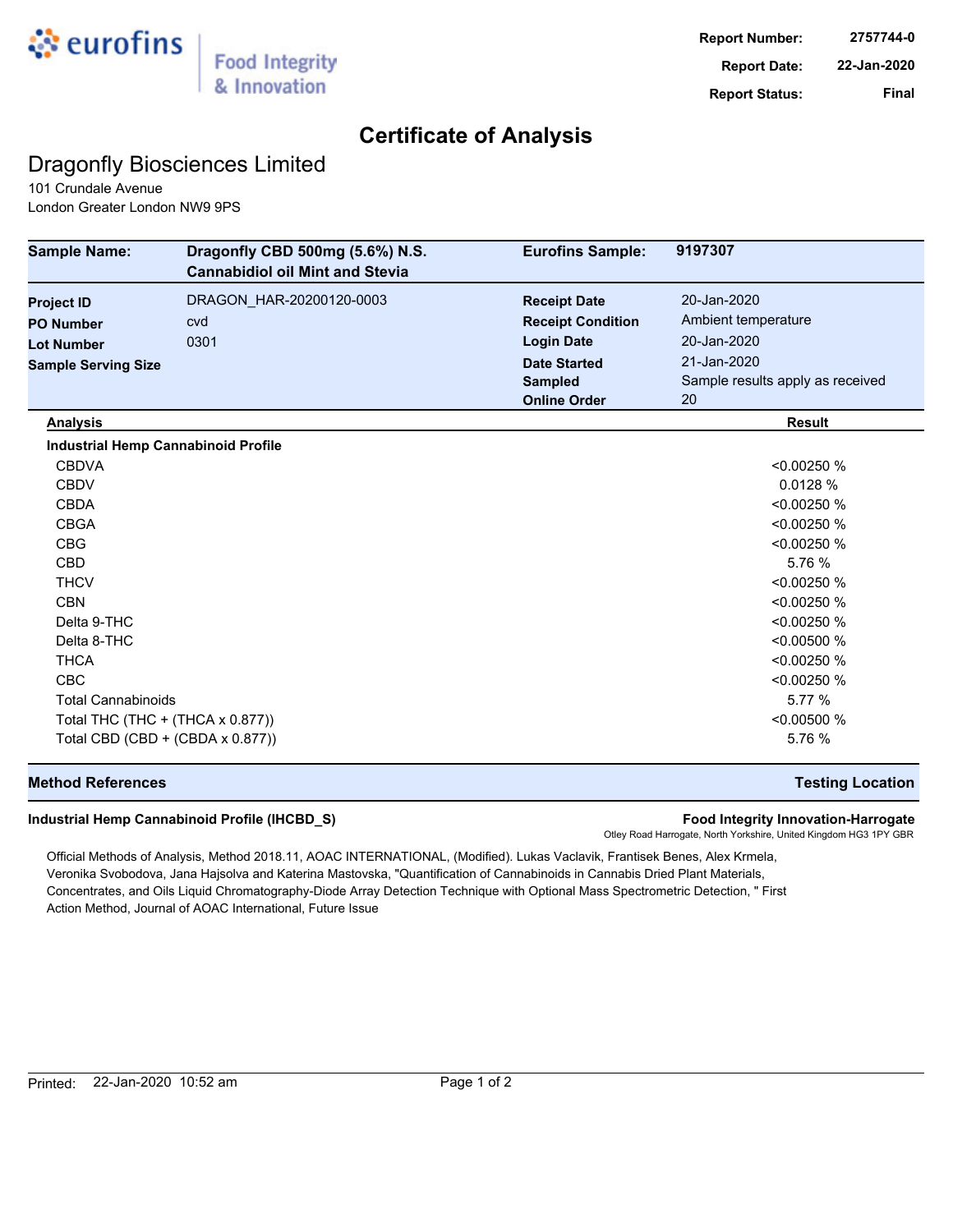

## **Certificate of Analysis**

## Dragonfly Biosciences Limited

101 Crundale Avenue London Greater London NW9 9PS

| <b>Sample Name:</b>                        | Dragonfly CBD 500mg (5.6%) N.S.<br><b>Cannabidiol oil Mint and Stevia</b> | <b>Eurofins Sample:</b>  | 9197307                          |
|--------------------------------------------|---------------------------------------------------------------------------|--------------------------|----------------------------------|
| <b>Project ID</b>                          | DRAGON_HAR-20200120-0003                                                  | <b>Receipt Date</b>      | 20-Jan-2020                      |
| <b>PO Number</b>                           | cvd                                                                       | <b>Receipt Condition</b> | Ambient temperature              |
| <b>Lot Number</b>                          | 0301                                                                      | <b>Login Date</b>        | 20-Jan-2020                      |
| <b>Sample Serving Size</b>                 |                                                                           | <b>Date Started</b>      | 21-Jan-2020                      |
|                                            |                                                                           | <b>Sampled</b>           | Sample results apply as received |
|                                            |                                                                           | <b>Online Order</b>      | 20                               |
| <b>Analysis</b>                            |                                                                           |                          | <b>Result</b>                    |
| <b>Industrial Hemp Cannabinoid Profile</b> |                                                                           |                          |                                  |
| <b>CBDVA</b>                               |                                                                           |                          | < 0.00250 %                      |
| <b>CBDV</b>                                |                                                                           |                          | 0.0128 %                         |
| <b>CBDA</b>                                |                                                                           |                          | < 0.00250 %                      |
| <b>CBGA</b>                                |                                                                           |                          | < 0.00250 %                      |
| <b>CBG</b>                                 |                                                                           |                          | < 0.00250 %                      |
| <b>CBD</b>                                 |                                                                           |                          | 5.76 %                           |
| <b>THCV</b>                                |                                                                           |                          | < 0.00250 %                      |
| <b>CBN</b>                                 |                                                                           |                          | < 0.00250 %                      |
| Delta 9-THC                                |                                                                           |                          | < 0.00250 %                      |
| Delta 8-THC                                |                                                                           |                          | < 0.00500 %                      |
| <b>THCA</b>                                |                                                                           |                          | < 0.00250 %                      |
| <b>CBC</b>                                 |                                                                           |                          | < 0.00250 %                      |
| <b>Total Cannabinoids</b>                  |                                                                           |                          | 5.77 %                           |
| Total THC (THC + (THCA x 0.877))           |                                                                           |                          | < 0.00500 %                      |
| Total CBD (CBD + (CBDA x 0.877))           |                                                                           |                          | 5.76 %                           |

### **Method References Testing Location**

#### **Industrial Hemp Cannabinoid Profile (IHCBD\_S) Food Integrity Innovation-Harrogate**

Otley Road Harrogate, North Yorkshire, United Kingdom HG3 1PY GBR

Official Methods of Analysis, Method 2018.11, AOAC INTERNATIONAL, (Modified). Lukas Vaclavik, Frantisek Benes, Alex Krmela, Veronika Svobodova, Jana Hajsolva and Katerina Mastovska, "Quantification of Cannabinoids in Cannabis Dried Plant Materials, Concentrates, and Oils Liquid Chromatography-Diode Array Detection Technique with Optional Mass Spectrometric Detection, " First Action Method, Journal of AOAC International, Future Issue